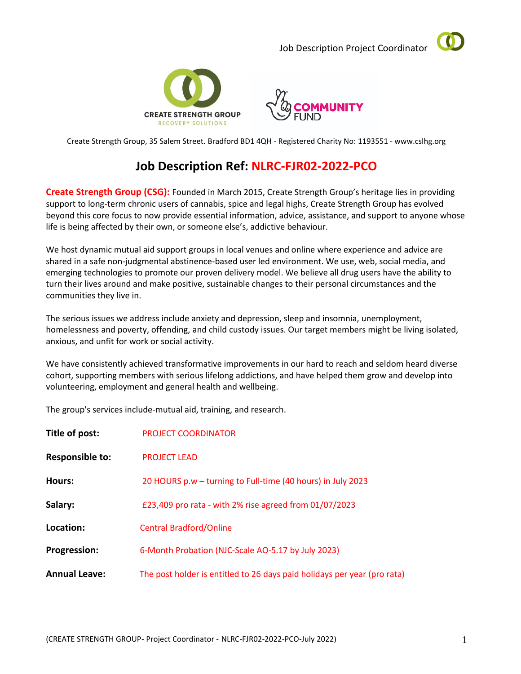Job Description Project Coordinator







Create Strength Group, 35 Salem Street. Bradford BD1 4QH - Registered Charity No: 1193551 - www.cslhg.org

# **Job Description Ref: NLRC-FJR02-2022-PCO**

**Create Strength Group (CSG):** Founded in March 2015, Create Strength Group's heritage lies in providing support to long-term chronic users of cannabis, spice and legal highs, Create Strength Group has evolved beyond this core focus to now provide essential information, advice, assistance, and support to anyone whose life is being affected by their own, or someone else's, addictive behaviour.

We host dynamic mutual aid support groups in local venues and online where experience and advice are shared in a safe non-judgmental abstinence-based user led environment. We use, web, social media, and emerging technologies to promote our proven delivery model. We believe all drug users have the ability to turn their lives around and make positive, sustainable changes to their personal circumstances and the communities they live in.

The serious issues we address include anxiety and depression, sleep and insomnia, unemployment, homelessness and poverty, offending, and child custody issues. Our target members might be living isolated, anxious, and unfit for work or social activity.

We have consistently achieved transformative improvements in our hard to reach and seldom heard diverse cohort, supporting members with serious lifelong addictions, and have helped them grow and develop into volunteering, employment and general health and wellbeing.

The group's services include-mutual aid, training, and research.

| Title of post:         | <b>PROJECT COORDINATOR</b>                                               |
|------------------------|--------------------------------------------------------------------------|
| <b>Responsible to:</b> | <b>PROJECT LEAD</b>                                                      |
| Hours:                 | 20 HOURS p.w – turning to Full-time (40 hours) in July 2023              |
| Salary:                | £23,409 pro rata - with 2% rise agreed from 01/07/2023                   |
| Location:              | <b>Central Bradford/Online</b>                                           |
| <b>Progression:</b>    | 6-Month Probation (NJC-Scale AO-5.17 by July 2023)                       |
| <b>Annual Leave:</b>   | The post holder is entitled to 26 days paid holidays per year (pro rata) |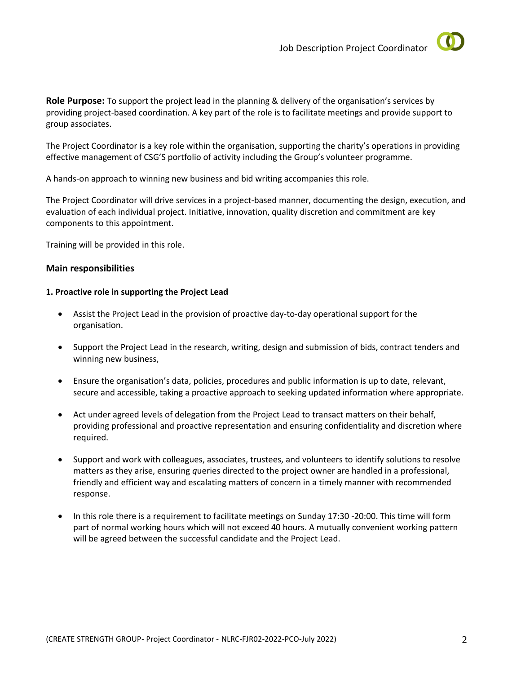

**Role Purpose:** To support the project lead in the planning & delivery of the organisation's services by providing project-based coordination. A key part of the role is to facilitate meetings and provide support to group associates.

The Project Coordinator is a key role within the organisation, supporting the charity's operations in providing effective management of CSG'S portfolio of activity including the Group's volunteer programme.

A hands-on approach to winning new business and bid writing accompanies this role.

The Project Coordinator will drive services in a project-based manner, documenting the design, execution, and evaluation of each individual project. Initiative, innovation, quality discretion and commitment are key components to this appointment.

Training will be provided in this role.

## **Main responsibilities**

### **1. Proactive role in supporting the Project Lead**

- Assist the Project Lead in the provision of proactive day-to-day operational support for the organisation.
- Support the Project Lead in the research, writing, design and submission of bids, contract tenders and winning new business,
- Ensure the organisation's data, policies, procedures and public information is up to date, relevant, secure and accessible, taking a proactive approach to seeking updated information where appropriate.
- Act under agreed levels of delegation from the Project Lead to transact matters on their behalf, providing professional and proactive representation and ensuring confidentiality and discretion where required.
- Support and work with colleagues, associates, trustees, and volunteers to identify solutions to resolve matters as they arise, ensuring *q*ueries directed to the project owner are handled in a professional, friendly and efficient way and escalating matters of concern in a timely manner with recommended response.
- In this role there is a requirement to facilitate meetings on Sunday 17:30 -20:00. This time will form part of normal working hours which will not exceed 40 hours. A mutually convenient working pattern will be agreed between the successful candidate and the Project Lead.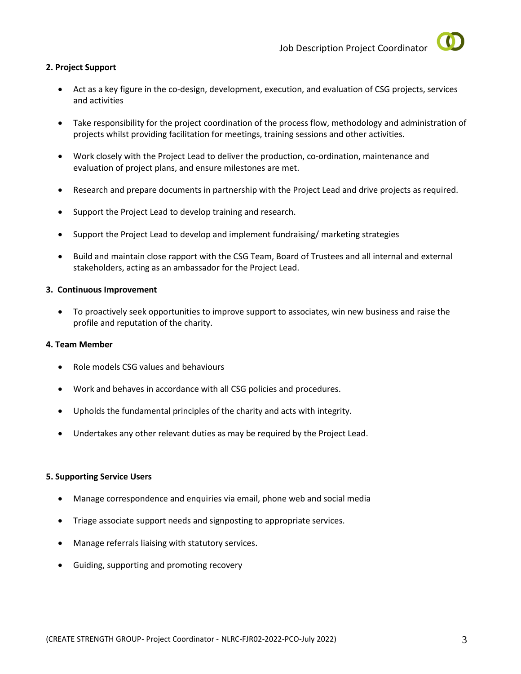

## **2. Project Support**

- Act as a key figure in the co-design, development, execution, and evaluation of CSG projects, services and activities
- Take responsibility for the project coordination of the process flow, methodology and administration of projects whilst providing facilitation for meetings, training sessions and other activities.
- Work closely with the Project Lead to deliver the production, co-ordination, maintenance and evaluation of project plans, and ensure milestones are met.
- Research and prepare documents in partnership with the Project Lead and drive projects as required.
- Support the Project Lead to develop training and research.
- Support the Project Lead to develop and implement fundraising/ marketing strategies
- Build and maintain close rapport with the CSG Team, Board of Trustees and all internal and external stakeholders, acting as an ambassador for the Project Lead.

### **3. Continuous Improvement**

• To proactively seek opportunities to improve support to associates, win new business and raise the profile and reputation of the charity.

#### **4. Team Member**

- Role models CSG values and behaviours
- Work and behaves in accordance with all CSG policies and procedures.
- Upholds the fundamental principles of the charity and acts with integrity.
- Undertakes any other relevant duties as may be required by the Project Lead.

## **5. Supporting Service Users**

- Manage correspondence and enquiries via email, phone web and social media
- Triage associate support needs and signposting to appropriate services.
- Manage referrals liaising with statutory services.
- Guiding, supporting and promoting recovery